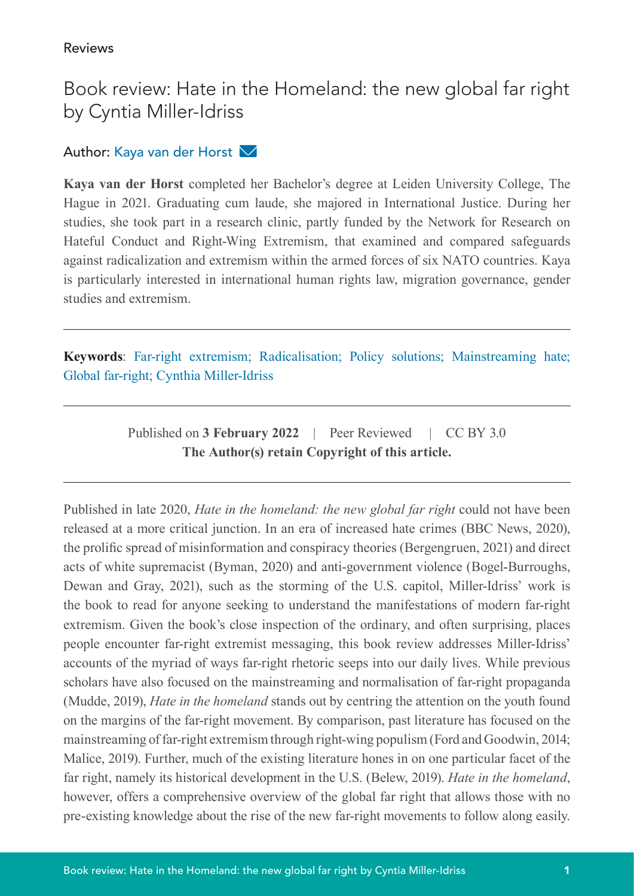## Book review: Hate in the Homeland: the new global far right by Cyntia Miller-Idriss

## Author: Kaya van der Horst

**Kaya van der Horst** completed her Bachelor's degree at Leiden University College, The Hague in 2021. Graduating cum laude, she majored in International Justice. During her studies, she took part in a research clinic, partly funded by the Network for Research on Hateful Conduct and Right-Wing Extremism, that examined and compared safeguards against radicalization and extremism within the armed forces of six NATO countries. Kaya is particularly interested in international human rights law, migration governance, gender studies and extremism.

**Keywords**: Far-right extremism; Radicalisation; Policy solutions; Mainstreaming hate; Global far-right; Cynthia Miller-Idriss

> Published on **3 February 2022** | Peer Reviewed | CC BY 3.0 **The Author(s) retain Copyright of this article.**

Published in late 2020, *Hate in the homeland: the new global far right* could not have been released at a more critical junction. In an era of increased hate crimes (BBC News, 2020), the prolific spread of misinformation and conspiracy theories (Bergengruen, 2021) and direct acts of white supremacist (Byman, 2020) and anti-government violence (Bogel-Burroughs, Dewan and Gray, 2021), such as the storming of the U.S. capitol, Miller-Idriss' work is the book to read for anyone seeking to understand the manifestations of modern far-right extremism. Given the book's close inspection of the ordinary, and often surprising, places people encounter far-right extremist messaging, this book review addresses Miller-Idriss' accounts of the myriad of ways far-right rhetoric seeps into our daily lives. While previous scholars have also focused on the mainstreaming and normalisation of far-right propaganda (Mudde, 2019), *Hate in the homeland* stands out by centring the attention on the youth found on the margins of the far-right movement. By comparison, past literature has focused on the mainstreaming of far-right extremism through right-wing populism (Ford and Goodwin, 2014; Malice, 2019). Further, much of the existing literature hones in on one particular facet of the far right, namely its historical development in the U.S. (Belew, 2019). *Hate in the homeland*, however, offers a comprehensive overview of the global far right that allows those with no pre-existing knowledge about the rise of the new far-right movements to follow along easily.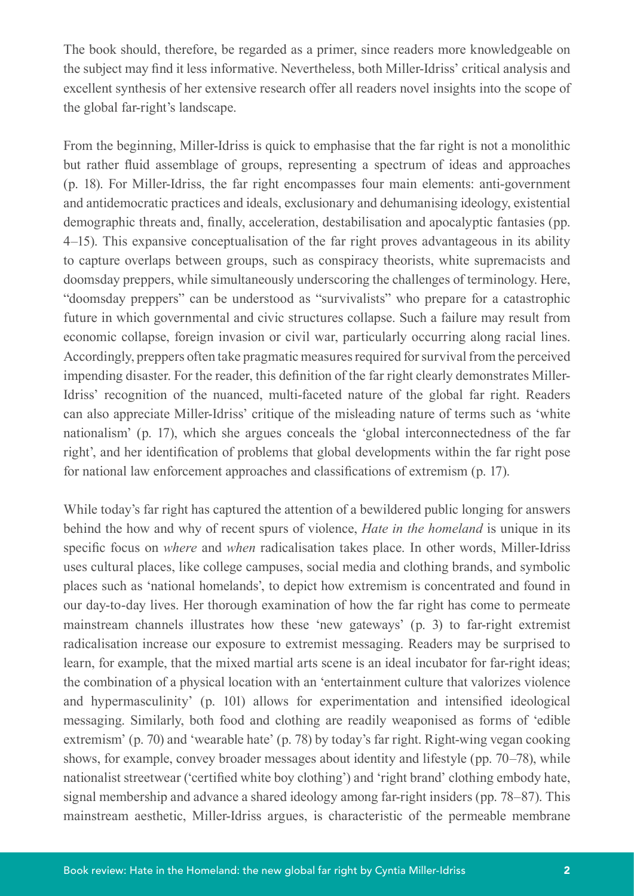The book should, therefore, be regarded as a primer, since readers more knowledgeable on the subject may find it less informative. Nevertheless, both Miller-Idriss' critical analysis and excellent synthesis of her extensive research offer all readers novel insights into the scope of the global far-right's landscape.

From the beginning, Miller-Idriss is quick to emphasise that the far right is not a monolithic but rather fluid assemblage of groups, representing a spectrum of ideas and approaches (p. 18). For Miller-Idriss, the far right encompasses four main elements: anti-government and antidemocratic practices and ideals, exclusionary and dehumanising ideology, existential demographic threats and, finally, acceleration, destabilisation and apocalyptic fantasies (pp. 4–15). This expansive conceptualisation of the far right proves advantageous in its ability to capture overlaps between groups, such as conspiracy theorists, white supremacists and doomsday preppers, while simultaneously underscoring the challenges of terminology. Here, "doomsday preppers" can be understood as "survivalists" who prepare for a catastrophic future in which governmental and civic structures collapse. Such a failure may result from economic collapse, foreign invasion or civil war, particularly occurring along racial lines. Accordingly, preppers often take pragmatic measures required for survival from the perceived impending disaster. For the reader, this definition of the far right clearly demonstrates Miller-Idriss' recognition of the nuanced, multi-faceted nature of the global far right. Readers can also appreciate Miller-Idriss' critique of the misleading nature of terms such as 'white nationalism' (p. 17), which she argues conceals the 'global interconnectedness of the far right', and her identification of problems that global developments within the far right pose for national law enforcement approaches and classifications of extremism (p. 17).

While today's far right has captured the attention of a bewildered public longing for answers behind the how and why of recent spurs of violence, *Hate in the homeland* is unique in its specific focus on *where* and *when* radicalisation takes place. In other words, Miller-Idriss uses cultural places, like college campuses, social media and clothing brands, and symbolic places such as 'national homelands', to depict how extremism is concentrated and found in our day-to-day lives. Her thorough examination of how the far right has come to permeate mainstream channels illustrates how these 'new gateways' (p. 3) to far-right extremist radicalisation increase our exposure to extremist messaging. Readers may be surprised to learn, for example, that the mixed martial arts scene is an ideal incubator for far-right ideas; the combination of a physical location with an 'entertainment culture that valorizes violence and hypermasculinity' (p. 101) allows for experimentation and intensified ideological messaging. Similarly, both food and clothing are readily weaponised as forms of 'edible extremism' (p. 70) and 'wearable hate' (p. 78) by today's far right. Right-wing vegan cooking shows, for example, convey broader messages about identity and lifestyle (pp. 70–78), while nationalist streetwear ('certified white boy clothing') and 'right brand' clothing embody hate, signal membership and advance a shared ideology among far-right insiders (pp. 78–87). This mainstream aesthetic, Miller-Idriss argues, is characteristic of the permeable membrane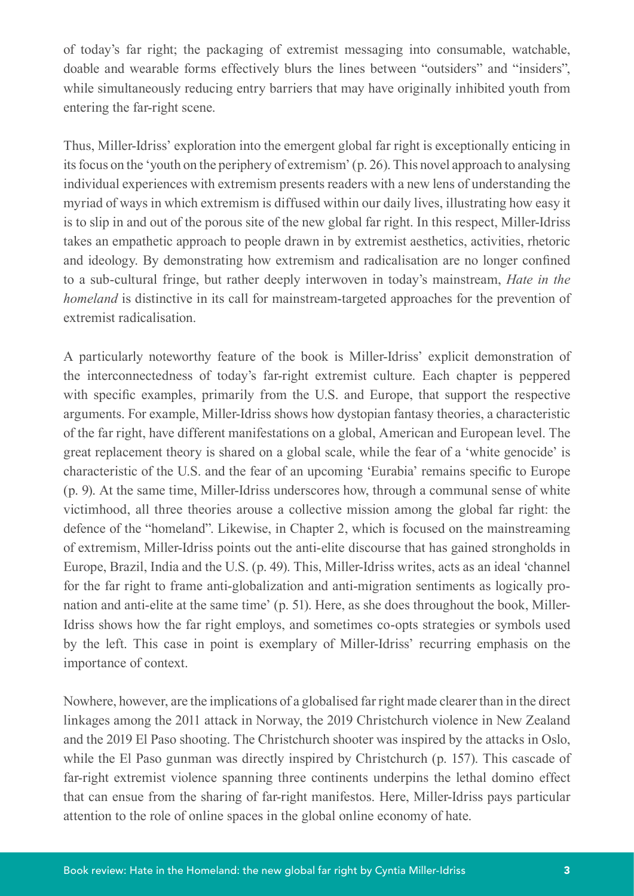of today's far right; the packaging of extremist messaging into consumable, watchable, doable and wearable forms effectively blurs the lines between "outsiders" and "insiders", while simultaneously reducing entry barriers that may have originally inhibited youth from entering the far-right scene.

Thus, Miller-Idriss' exploration into the emergent global far right is exceptionally enticing in its focus on the 'youth on the periphery of extremism' (p. 26). This novel approach to analysing individual experiences with extremism presents readers with a new lens of understanding the myriad of ways in which extremism is diffused within our daily lives, illustrating how easy it is to slip in and out of the porous site of the new global far right. In this respect, Miller-Idriss takes an empathetic approach to people drawn in by extremist aesthetics, activities, rhetoric and ideology. By demonstrating how extremism and radicalisation are no longer confined to a sub-cultural fringe, but rather deeply interwoven in today's mainstream, *Hate in the homeland* is distinctive in its call for mainstream-targeted approaches for the prevention of extremist radicalisation.

A particularly noteworthy feature of the book is Miller-Idriss' explicit demonstration of the interconnectedness of today's far-right extremist culture. Each chapter is peppered with specific examples, primarily from the U.S. and Europe, that support the respective arguments. For example, Miller-Idriss shows how dystopian fantasy theories, a characteristic of the far right, have different manifestations on a global, American and European level. The great replacement theory is shared on a global scale, while the fear of a 'white genocide' is characteristic of the U.S. and the fear of an upcoming 'Eurabia' remains specific to Europe (p. 9). At the same time, Miller-Idriss underscores how, through a communal sense of white victimhood, all three theories arouse a collective mission among the global far right: the defence of the "homeland". Likewise, in Chapter 2, which is focused on the mainstreaming of extremism, Miller-Idriss points out the anti-elite discourse that has gained strongholds in Europe, Brazil, India and the U.S. (p. 49). This, Miller-Idriss writes, acts as an ideal 'channel for the far right to frame anti-globalization and anti-migration sentiments as logically pronation and anti-elite at the same time' (p. 51). Here, as she does throughout the book, Miller-Idriss shows how the far right employs, and sometimes co-opts strategies or symbols used by the left. This case in point is exemplary of Miller-Idriss' recurring emphasis on the importance of context.

Nowhere, however, are the implications of a globalised far right made clearer than in the direct linkages among the 2011 attack in Norway, the 2019 Christchurch violence in New Zealand and the 2019 El Paso shooting. The Christchurch shooter was inspired by the attacks in Oslo, while the El Paso gunman was directly inspired by Christchurch (p. 157). This cascade of far-right extremist violence spanning three continents underpins the lethal domino effect that can ensue from the sharing of far-right manifestos. Here, Miller-Idriss pays particular attention to the role of online spaces in the global online economy of hate.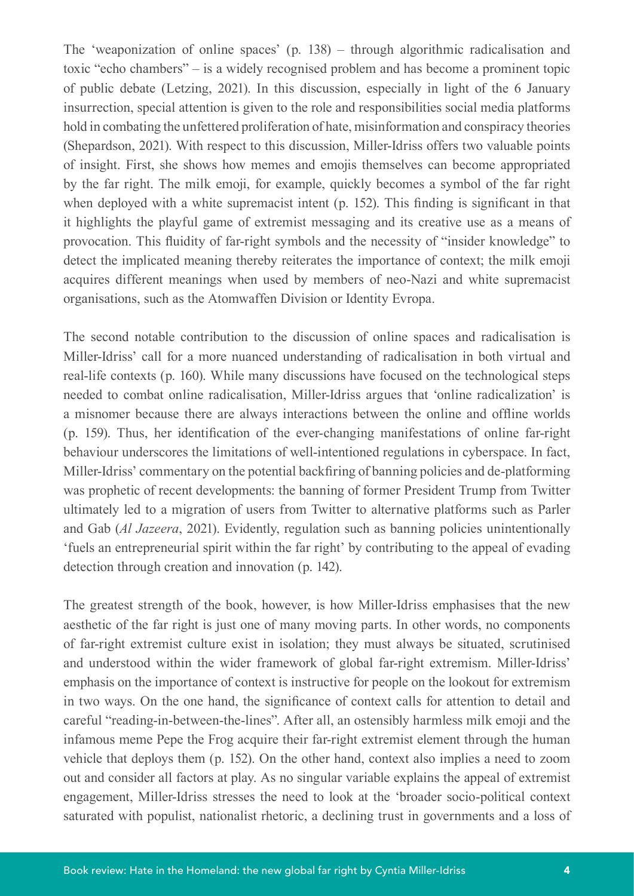The 'weaponization of online spaces' (p. 138) – through algorithmic radicalisation and toxic "echo chambers" – is a widely recognised problem and has become a prominent topic of public debate (Letzing, 2021). In this discussion, especially in light of the 6 January insurrection, special attention is given to the role and responsibilities social media platforms hold in combating the unfettered proliferation of hate, misinformation and conspiracy theories (Shepardson, 2021). With respect to this discussion, Miller-Idriss offers two valuable points of insight. First, she shows how memes and emojis themselves can become appropriated by the far right. The milk emoji, for example, quickly becomes a symbol of the far right when deployed with a white supremacist intent (p. 152). This finding is significant in that it highlights the playful game of extremist messaging and its creative use as a means of provocation. This fluidity of far-right symbols and the necessity of "insider knowledge" to detect the implicated meaning thereby reiterates the importance of context; the milk emoji acquires different meanings when used by members of neo-Nazi and white supremacist organisations, such as the Atomwaffen Division or Identity Evropa.

The second notable contribution to the discussion of online spaces and radicalisation is Miller-Idriss' call for a more nuanced understanding of radicalisation in both virtual and real-life contexts (p. 160). While many discussions have focused on the technological steps needed to combat online radicalisation, Miller-Idriss argues that 'online radicalization' is a misnomer because there are always interactions between the online and offline worlds (p. 159). Thus, her identification of the ever-changing manifestations of online far-right behaviour underscores the limitations of well-intentioned regulations in cyberspace. In fact, Miller-Idriss' commentary on the potential backfiring of banning policies and de-platforming was prophetic of recent developments: the banning of former President Trump from Twitter ultimately led to a migration of users from Twitter to alternative platforms such as Parler and Gab (*Al Jazeera*, 2021). Evidently, regulation such as banning policies unintentionally 'fuels an entrepreneurial spirit within the far right' by contributing to the appeal of evading detection through creation and innovation (p. 142).

The greatest strength of the book, however, is how Miller-Idriss emphasises that the new aesthetic of the far right is just one of many moving parts. In other words, no components of far-right extremist culture exist in isolation; they must always be situated, scrutinised and understood within the wider framework of global far-right extremism. Miller-Idriss' emphasis on the importance of context is instructive for people on the lookout for extremism in two ways. On the one hand, the significance of context calls for attention to detail and careful "reading-in-between-the-lines". After all, an ostensibly harmless milk emoji and the infamous meme Pepe the Frog acquire their far-right extremist element through the human vehicle that deploys them (p. 152). On the other hand, context also implies a need to zoom out and consider all factors at play. As no singular variable explains the appeal of extremist engagement, Miller-Idriss stresses the need to look at the 'broader socio-political context saturated with populist, nationalist rhetoric, a declining trust in governments and a loss of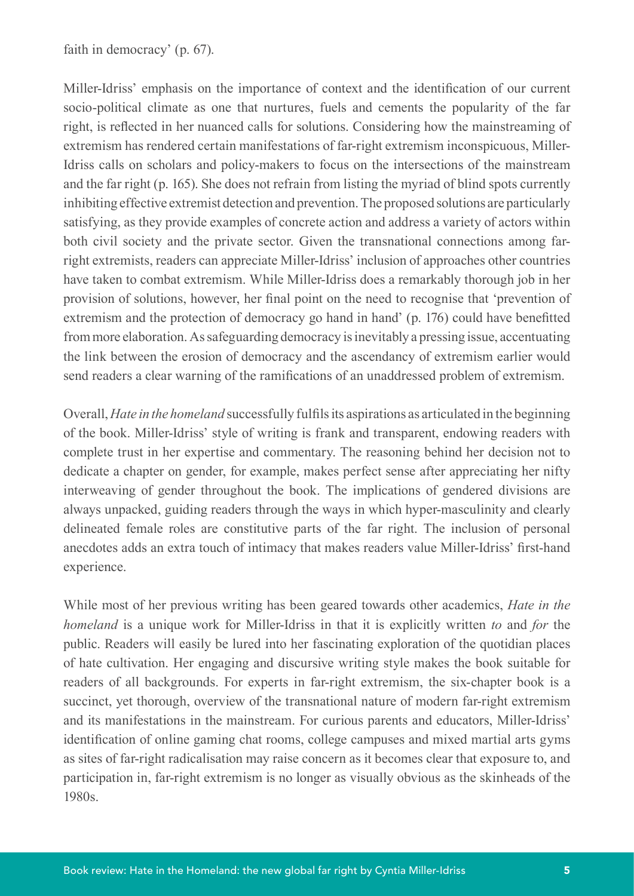faith in democracy' (p. 67).

Miller-Idriss' emphasis on the importance of context and the identification of our current socio-political climate as one that nurtures, fuels and cements the popularity of the far right, is reflected in her nuanced calls for solutions. Considering how the mainstreaming of extremism has rendered certain manifestations of far-right extremism inconspicuous, Miller-Idriss calls on scholars and policy-makers to focus on the intersections of the mainstream and the far right (p. 165). She does not refrain from listing the myriad of blind spots currently inhibiting effective extremist detection and prevention. The proposed solutions are particularly satisfying, as they provide examples of concrete action and address a variety of actors within both civil society and the private sector. Given the transnational connections among farright extremists, readers can appreciate Miller-Idriss' inclusion of approaches other countries have taken to combat extremism. While Miller-Idriss does a remarkably thorough job in her provision of solutions, however, her final point on the need to recognise that 'prevention of extremism and the protection of democracy go hand in hand' (p. 176) could have benefitted from more elaboration. As safeguarding democracy is inevitably a pressing issue, accentuating the link between the erosion of democracy and the ascendancy of extremism earlier would send readers a clear warning of the ramifications of an unaddressed problem of extremism.

Overall, *Hate in the homeland* successfully fulfils its aspirations as articulated in the beginning of the book. Miller-Idriss' style of writing is frank and transparent, endowing readers with complete trust in her expertise and commentary. The reasoning behind her decision not to dedicate a chapter on gender, for example, makes perfect sense after appreciating her nifty interweaving of gender throughout the book. The implications of gendered divisions are always unpacked, guiding readers through the ways in which hyper-masculinity and clearly delineated female roles are constitutive parts of the far right. The inclusion of personal anecdotes adds an extra touch of intimacy that makes readers value Miller-Idriss' first-hand experience.

While most of her previous writing has been geared towards other academics, *Hate in the homeland* is a unique work for Miller-Idriss in that it is explicitly written *to* and *for* the public. Readers will easily be lured into her fascinating exploration of the quotidian places of hate cultivation. Her engaging and discursive writing style makes the book suitable for readers of all backgrounds. For experts in far-right extremism, the six-chapter book is a succinct, yet thorough, overview of the transnational nature of modern far-right extremism and its manifestations in the mainstream. For curious parents and educators, Miller-Idriss' identification of online gaming chat rooms, college campuses and mixed martial arts gyms as sites of far-right radicalisation may raise concern as it becomes clear that exposure to, and participation in, far-right extremism is no longer as visually obvious as the skinheads of the 1980s.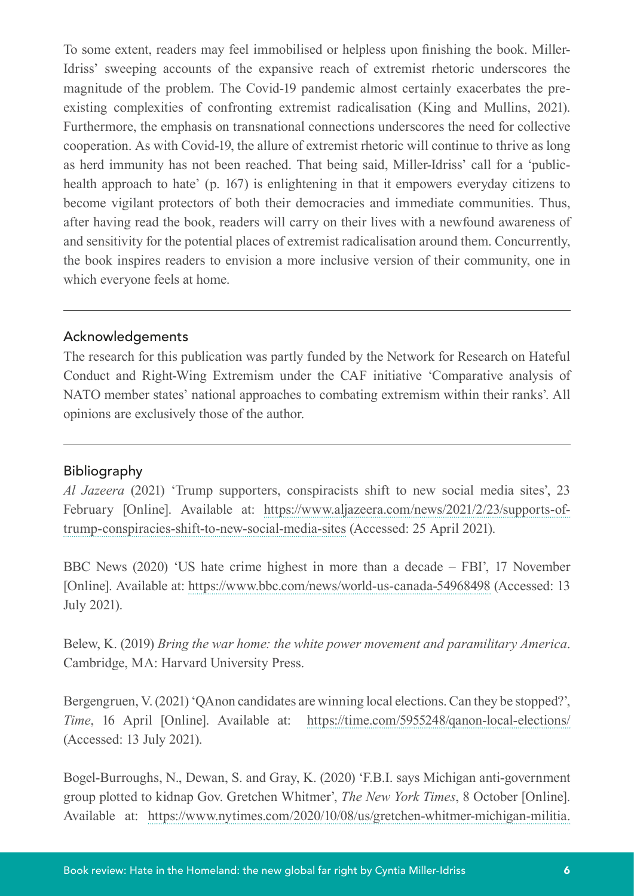To some extent, readers may feel immobilised or helpless upon finishing the book. Miller-Idriss' sweeping accounts of the expansive reach of extremist rhetoric underscores the magnitude of the problem. The Covid-19 pandemic almost certainly exacerbates the preexisting complexities of confronting extremist radicalisation (King and Mullins, 2021). Furthermore, the emphasis on transnational connections underscores the need for collective cooperation. As with Covid-19, the allure of extremist rhetoric will continue to thrive as long as herd immunity has not been reached. That being said, Miller-Idriss' call for a 'publichealth approach to hate' (p. 167) is enlightening in that it empowers everyday citizens to become vigilant protectors of both their democracies and immediate communities. Thus, after having read the book, readers will carry on their lives with a newfound awareness of and sensitivity for the potential places of extremist radicalisation around them. Concurrently, the book inspires readers to envision a more inclusive version of their community, one in which everyone feels at home.

## Acknowledgements

The research for this publication was partly funded by the Network for Research on Hateful Conduct and Right-Wing Extremism under the CAF initiative 'Comparative analysis of NATO member states' national approaches to combating extremism within their ranks'. All opinions are exclusively those of the author.

## Bibliography

*Al Jazeera* (2021) 'Trump supporters, conspiracists shift to new social media sites', 23 February [Online]. Available at: [https://www.aljazeera.com/news/2021/2/23/supports-of](https://www.aljazeera.com/news/2021/2/23/supports-of-trump-conspiracies-shift-to-new-social-media-sites)[trump-conspiracies-shift-to-new-social-media-sites](https://www.aljazeera.com/news/2021/2/23/supports-of-trump-conspiracies-shift-to-new-social-media-sites) (Accessed: 25 April 2021).

BBC News (2020) 'US hate crime highest in more than a decade – FBI', 17 November [Online]. Available at: <https://www.bbc.com/news/world-us-canada-54968498>(Accessed: 13 July 2021).

Belew, K. (2019) *Bring the war home: the white power movement and paramilitary America*. Cambridge, MA: Harvard University Press.

Bergengruen, V. (2021) 'QAnon candidates are winning local elections. Can they be stopped?', *Time*, 16 April [Online]. Available at: https://time.com/5955248/qanon-local-elections/ (Accessed: 13 July 2021).

Bogel-Burroughs, N., Dewan, S. and Gray, K. (2020) 'F.B.I. says Michigan anti-government group plotted to kidnap Gov. Gretchen Whitmer', *The New York Times*, 8 October [Online]. Available at: [https://www.nytimes.com/2020/10/08/us/gretchen-whitmer-michigan-militia.](https://www.nytimes.com/2020/10/08/us/gretchen-whitmer-michigan-militia.html)